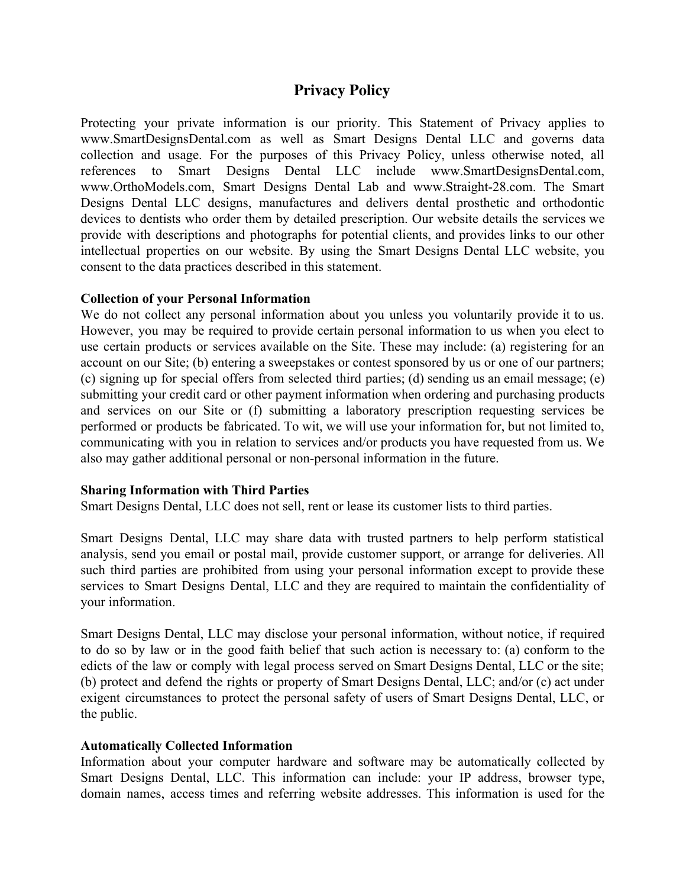# **Privacy Policy**

Protecting your private information is our priority. This Statement of Privacy applies to www.SmartDesignsDental.com as well as Smart Designs Dental LLC and governs data collection and usage. For the purposes of this Privacy Policy, unless otherwise noted, all references to Smart Designs Dental LLC include www.SmartDesignsDental.com, www.OrthoModels.com, Smart Designs Dental Lab and www.Straight-28.com. The Smart Designs Dental LLC designs, manufactures and delivers dental prosthetic and orthodontic devices to dentists who order them by detailed prescription. Our website details the services we provide with descriptions and photographs for potential clients, and provides links to our other intellectual properties on our website. By using the Smart Designs Dental LLC website, you consent to the data practices described in this statement.

## **Collection of your Personal Information**

We do not collect any personal information about you unless you voluntarily provide it to us. However, you may be required to provide certain personal information to us when you elect to use certain products or services available on the Site. These may include: (a) registering for an account on our Site; (b) entering a sweepstakes or contest sponsored by us or one of our partners; (c) signing up for special offers from selected third parties; (d) sending us an email message; (e) submitting your credit card or other payment information when ordering and purchasing products and services on our Site or (f) submitting a laboratory prescription requesting services be performed or products be fabricated. To wit, we will use your information for, but not limited to, communicating with you in relation to services and/or products you have requested from us. We also may gather additional personal or non-personal information in the future.

## **Sharing Information with Third Parties**

Smart Designs Dental, LLC does not sell, rent or lease its customer lists to third parties.

Smart Designs Dental, LLC may share data with trusted partners to help perform statistical analysis, send you email or postal mail, provide customer support, or arrange for deliveries. All such third parties are prohibited from using your personal information except to provide these services to Smart Designs Dental, LLC and they are required to maintain the confidentiality of your information.

Smart Designs Dental, LLC may disclose your personal information, without notice, if required to do so by law or in the good faith belief that such action is necessary to: (a) conform to the edicts of the law or comply with legal process served on Smart Designs Dental, LLC or the site; (b) protect and defend the rights or property of Smart Designs Dental, LLC; and/or (c) act under exigent circumstances to protect the personal safety of users of Smart Designs Dental, LLC, or the public.

## **Automatically Collected Information**

Information about your computer hardware and software may be automatically collected by Smart Designs Dental, LLC. This information can include: your IP address, browser type, domain names, access times and referring website addresses. This information is used for the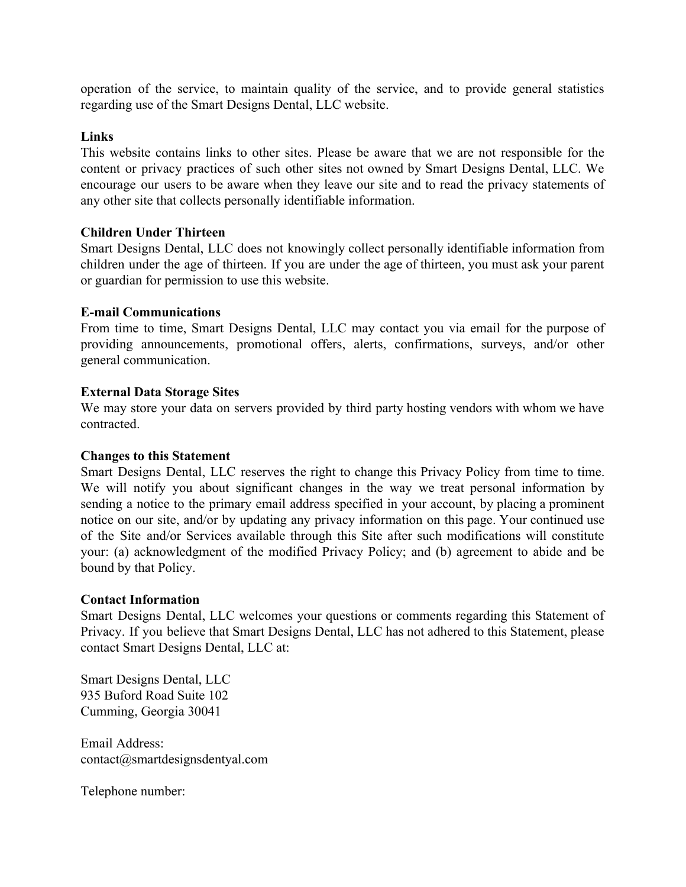operation of the service, to maintain quality of the service, and to provide general statistics regarding use of the Smart Designs Dental, LLC website.

## **Links**

This website contains links to other sites. Please be aware that we are not responsible for the content or privacy practices of such other sites not owned by Smart Designs Dental, LLC. We encourage our users to be aware when they leave our site and to read the privacy statements of any other site that collects personally identifiable information.

## **Children Under Thirteen**

Smart Designs Dental, LLC does not knowingly collect personally identifiable information from children under the age of thirteen. If you are under the age of thirteen, you must ask your parent or guardian for permission to use this website.

## **E-mail Communications**

From time to time, Smart Designs Dental, LLC may contact you via email for the purpose of providing announcements, promotional offers, alerts, confirmations, surveys, and/or other general communication.

## **External Data Storage Sites**

We may store your data on servers provided by third party hosting vendors with whom we have contracted.

## **Changes to this Statement**

Smart Designs Dental, LLC reserves the right to change this Privacy Policy from time to time. We will notify you about significant changes in the way we treat personal information by sending a notice to the primary email address specified in your account, by placing a prominent notice on our site, and/or by updating any privacy information on this page. Your continued use of the Site and/or Services available through this Site after such modifications will constitute your: (a) acknowledgment of the modified Privacy Policy; and (b) agreement to abide and be bound by that Policy.

## **Contact Information**

Smart Designs Dental, LLC welcomes your questions or comments regarding this Statement of Privacy. If you believe that Smart Designs Dental, LLC has not adhered to this Statement, please contact Smart Designs Dental, LLC at:

Smart Designs Dental, LLC 935 Buford Road Suite 102 Cumming, Georgia 30041

Email Address: contact@smartdesignsdentyal.com

Telephone number: